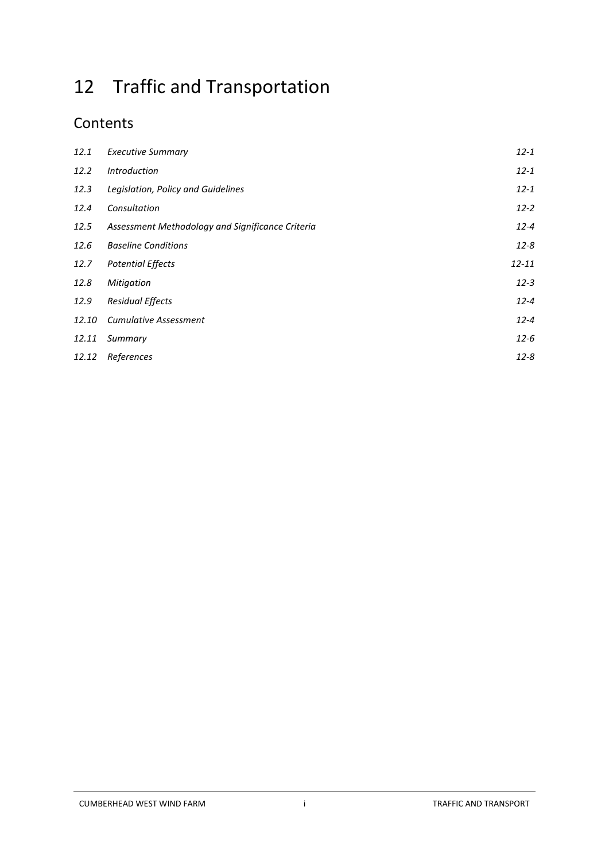# 12 Traffic and Transportation

# Contents

| 12.1  | <b>Executive Summary</b>                         | $12 - 1$  |
|-------|--------------------------------------------------|-----------|
| 12.2  | <b>Introduction</b>                              | $12 - 1$  |
| 12.3  | Legislation, Policy and Guidelines               | $12 - 1$  |
| 12.4  | Consultation                                     | $12 - 2$  |
| 12.5  | Assessment Methodology and Significance Criteria | $12 - 4$  |
| 12.6  | <b>Baseline Conditions</b>                       | $12 - 8$  |
| 12.7  | <b>Potential Effects</b>                         | $12 - 11$ |
| 12.8  | Mitigation                                       | $12 - 3$  |
| 12.9  | <b>Residual Effects</b>                          | $12 - 4$  |
| 12.10 | <b>Cumulative Assessment</b>                     | $12 - 4$  |
| 12.11 | Summary                                          | $12 - 6$  |
| 12.12 | References                                       | $12 - 8$  |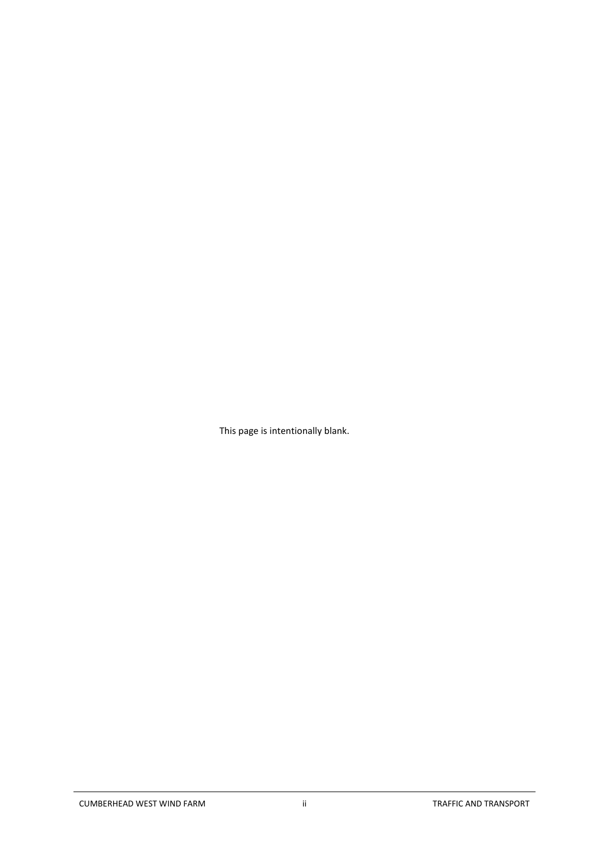This page is intentionally blank.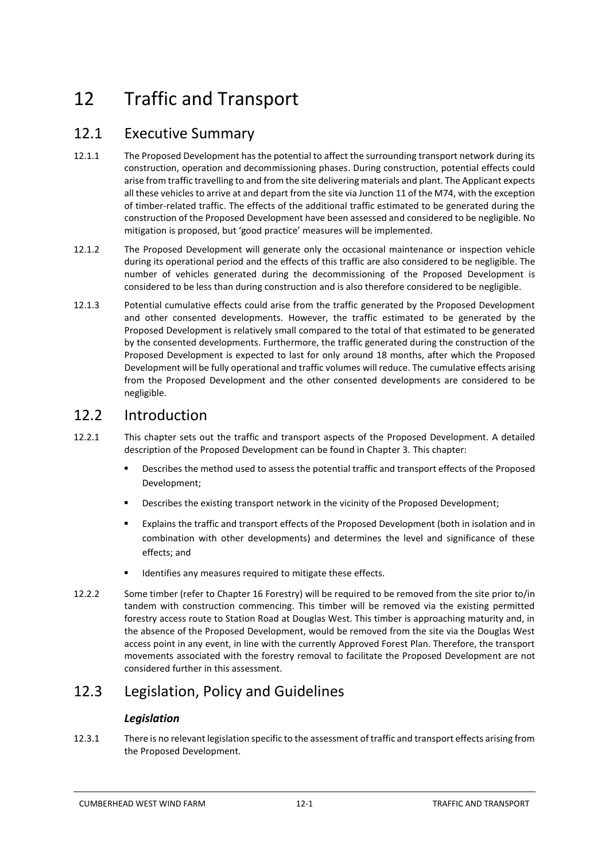# 12 Traffic and Transport

# <span id="page-2-0"></span>12.1 Executive Summary

- 12.1.1 The Proposed Development has the potential to affect the surrounding transport network during its construction, operation and decommissioning phases. During construction, potential effects could arise from traffic travelling to and from the site delivering materials and plant. The Applicant expects all these vehicles to arrive at and depart from the site via Junction 11 of the M74, with the exception of timber-related traffic. The effects of the additional traffic estimated to be generated during the construction of the Proposed Development have been assessed and considered to be negligible. No mitigation is proposed, but 'good practice' measures will be implemented.
- 12.1.2 The Proposed Development will generate only the occasional maintenance or inspection vehicle during its operational period and the effects of this traffic are also considered to be negligible. The number of vehicles generated during the decommissioning of the Proposed Development is considered to be less than during construction and is also therefore considered to be negligible.
- 12.1.3 Potential cumulative effects could arise from the traffic generated by the Proposed Development and other consented developments. However, the traffic estimated to be generated by the Proposed Development is relatively small compared to the total of that estimated to be generated by the consented developments. Furthermore, the traffic generated during the construction of the Proposed Development is expected to last for only around 18 months, after which the Proposed Development will be fully operational and traffic volumes will reduce. The cumulative effects arising from the Proposed Development and the other consented developments are considered to be negligible.

### <span id="page-2-1"></span>12.2 Introduction

- 12.2.1 This chapter sets out the traffic and transport aspects of the Proposed Development. A detailed description of the Proposed Development can be found in Chapter 3. This chapter:
	- **■** Describes the method used to assess the potential traffic and transport effects of the Proposed Development;
	- **•** Describes the existing transport network in the vicinity of the Proposed Development;
	- Explains the traffic and transport effects of the Proposed Development (both in isolation and in combination with other developments) and determines the level and significance of these effects; and
	- Identifies any measures required to mitigate these effects.
- <span id="page-2-3"></span>12.2.2 Some timber (refer to Chapter 16 Forestry) will be required to be removed from the site prior to/in tandem with construction commencing. This timber will be removed via the existing permitted forestry access route to Station Road at Douglas West. This timber is approaching maturity and, in the absence of the Proposed Development, would be removed from the site via the Douglas West access point in any event, in line with the currently Approved Forest Plan. Therefore, the transport movements associated with the forestry removal to facilitate the Proposed Development are not considered further in this assessment.

# <span id="page-2-2"></span>12.3 Legislation, Policy and Guidelines

### *Legislation*

12.3.1 There is no relevant legislation specific to the assessment of traffic and transport effects arising from the Proposed Development.

CUMBERHEAD WEST WIND FARM 12-1 TRAFFIC AND TRANSPORT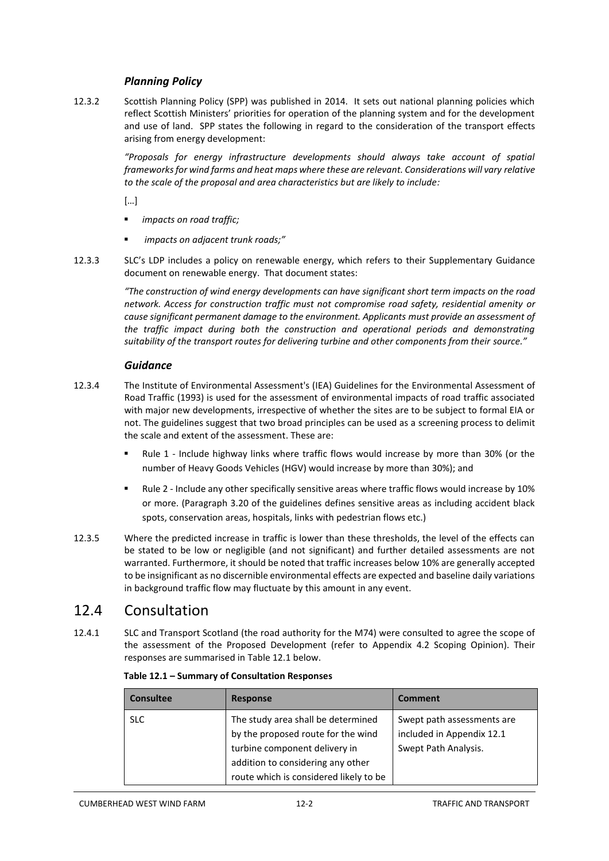### *Planning Policy*

12.3.2 Scottish Planning Policy (SPP) was published in 2014. It sets out national planning policies which reflect Scottish Ministers' priorities for operation of the planning system and for the development and use of land. SPP states the following in regard to the consideration of the transport effects arising from energy development:

> *"Proposals for energy infrastructure developments should always take account of spatial frameworks for wind farms and heat maps where these are relevant. Considerations will vary relative to the scale of the proposal and area characteristics but are likely to include:*

[…]

- *impacts on road traffic;*
- *impacts on adjacent trunk roads;"*
- 12.3.3 SLC's LDP includes a policy on renewable energy, which refers to their Supplementary Guidance document on renewable energy. That document states:

*"The construction of wind energy developments can have significant short term impacts on the road network. Access for construction traffic must not compromise road safety, residential amenity or cause significant permanent damage to the environment. Applicants must provide an assessment of the traffic impact during both the construction and operational periods and demonstrating suitability of the transport routes for delivering turbine and other components from their source."*

### *Guidance*

- <span id="page-3-2"></span>12.3.4 The Institute of Environmental Assessment's (IEA) Guidelines for the Environmental Assessment of Road Traffic (1993) is used for the assessment of environmental impacts of road traffic associated with major new developments, irrespective of whether the sites are to be subject to formal EIA or not. The guidelines suggest that two broad principles can be used as a screening process to delimit the scale and extent of the assessment. These are:
	- Rule 1 Include highway links where traffic flows would increase by more than 30% (or the number of Heavy Goods Vehicles (HGV) would increase by more than 30%); and
	- Rule 2 Include any other specifically sensitive areas where traffic flows would increase by 10% or more. (Paragraph 3.20 of the guidelines defines sensitive areas as including accident black spots, conservation areas, hospitals, links with pedestrian flows etc.)
- 12.3.5 Where the predicted increase in traffic is lower than these thresholds, the level of the effects can be stated to be low or negligible (and not significant) and further detailed assessments are not warranted. Furthermore, it should be noted that traffic increases below 10% are generally accepted to be insignificant as no discernible environmental effects are expected and baseline daily variations in background traffic flow may fluctuate by this amount in any event.

### <span id="page-3-0"></span>12.4 Consultation

<span id="page-3-1"></span>12.4.1 SLC and Transport Scotland (the road authority for the M74) were consulted to agree the scope of the assessment of the Proposed Development (refer to Appendix 4.2 Scoping Opinion). Their responses are summarised in [Table 12.1](#page-3-1) [below.](#page-3-1)

| <b>Consultee</b> | <b>Response</b>                                                                                                                                                                          | <b>Comment</b>                                                                  |
|------------------|------------------------------------------------------------------------------------------------------------------------------------------------------------------------------------------|---------------------------------------------------------------------------------|
| <b>SLC</b>       | The study area shall be determined<br>by the proposed route for the wind<br>turbine component delivery in<br>addition to considering any other<br>route which is considered likely to be | Swept path assessments are<br>included in Appendix 12.1<br>Swept Path Analysis. |

|  | Table 12.1 - Summary of Consultation Responses |  |  |  |  |
|--|------------------------------------------------|--|--|--|--|
|--|------------------------------------------------|--|--|--|--|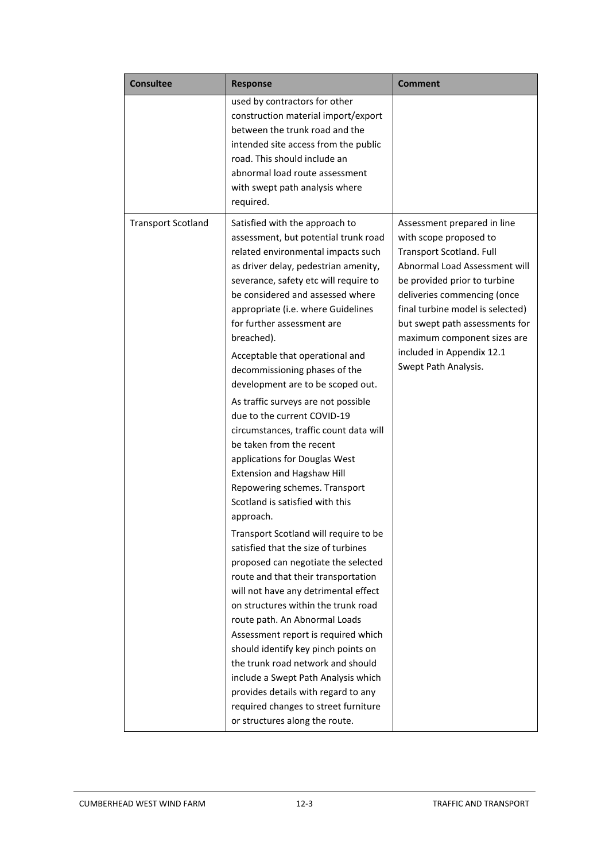| <b>Consultee</b>          | <b>Response</b>                                                                                                                                                                                                                                                                                                                                                                                                                                                                                                                                                                                                                                                                                                                                                                                                                                                                                                                                                                                                                                                                                                                                                                                                                                                                          | <b>Comment</b>                                                                                                                                                                                                                                                                                                                              |
|---------------------------|------------------------------------------------------------------------------------------------------------------------------------------------------------------------------------------------------------------------------------------------------------------------------------------------------------------------------------------------------------------------------------------------------------------------------------------------------------------------------------------------------------------------------------------------------------------------------------------------------------------------------------------------------------------------------------------------------------------------------------------------------------------------------------------------------------------------------------------------------------------------------------------------------------------------------------------------------------------------------------------------------------------------------------------------------------------------------------------------------------------------------------------------------------------------------------------------------------------------------------------------------------------------------------------|---------------------------------------------------------------------------------------------------------------------------------------------------------------------------------------------------------------------------------------------------------------------------------------------------------------------------------------------|
|                           | used by contractors for other<br>construction material import/export<br>between the trunk road and the<br>intended site access from the public<br>road. This should include an<br>abnormal load route assessment<br>with swept path analysis where<br>required.                                                                                                                                                                                                                                                                                                                                                                                                                                                                                                                                                                                                                                                                                                                                                                                                                                                                                                                                                                                                                          |                                                                                                                                                                                                                                                                                                                                             |
| <b>Transport Scotland</b> | Satisfied with the approach to<br>assessment, but potential trunk road<br>related environmental impacts such<br>as driver delay, pedestrian amenity,<br>severance, safety etc will require to<br>be considered and assessed where<br>appropriate (i.e. where Guidelines<br>for further assessment are<br>breached).<br>Acceptable that operational and<br>decommissioning phases of the<br>development are to be scoped out.<br>As traffic surveys are not possible<br>due to the current COVID-19<br>circumstances, traffic count data will<br>be taken from the recent<br>applications for Douglas West<br><b>Extension and Hagshaw Hill</b><br>Repowering schemes. Transport<br>Scotland is satisfied with this<br>approach.<br>Transport Scotland will require to be<br>satisfied that the size of turbines<br>proposed can negotiate the selected<br>route and that their transportation<br>will not have any detrimental effect<br>on structures within the trunk road<br>route path. An Abnormal Loads<br>Assessment report is required which<br>should identify key pinch points on<br>the trunk road network and should<br>include a Swept Path Analysis which<br>provides details with regard to any<br>required changes to street furniture<br>or structures along the route. | Assessment prepared in line<br>with scope proposed to<br>Transport Scotland. Full<br>Abnormal Load Assessment will<br>be provided prior to turbine<br>deliveries commencing (once<br>final turbine model is selected)<br>but swept path assessments for<br>maximum component sizes are<br>included in Appendix 12.1<br>Swept Path Analysis. |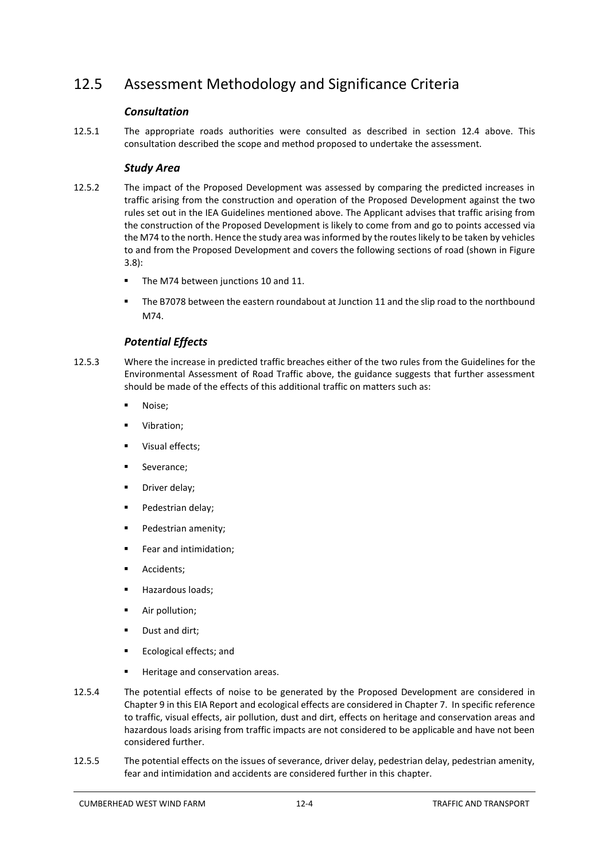# <span id="page-5-0"></span>12.5 Assessment Methodology and Significance Criteria

### *Consultation*

12.5.1 The appropriate roads authorities were consulted as described in section [12.4](#page-3-0) [above.](#page-3-0) This consultation described the scope and method proposed to undertake the assessment.

### *Study Area*

- 12.5.2 The impact of the Proposed Development was assessed by comparing the predicted increases in traffic arising from the construction and operation of the Proposed Development against the two rules set out in the IEA Guidelines mentioned above. The Applicant advises that traffic arising from the construction of the Proposed Development is likely to come from and go to points accessed via the M74 to the north. Hence the study area was informed by the routes likely to be taken by vehicles to and from the Proposed Development and covers the following sections of road (shown in Figure 3.8):
	- The M74 between junctions 10 and 11.
	- The B7078 between the eastern roundabout at Junction 11 and the slip road to the northbound M74.

### *Potential Effects*

- 12.5.3 Where the increase in predicted traffic breaches either of the two rules from the Guidelines for the Environmental Assessment of Road Traffic above, the guidance suggests that further assessment should be made of the effects of this additional traffic on matters such as:
	- Noise;
	- Vibration;
	- **■** Visual effects;
	- Severance:
	- **■** Driver delay;
	- Pedestrian delay;
	- Pedestrian amenity;
	- Fear and intimidation;
	- Accidents;
	- Hazardous loads;
	- Air pollution;
	- Dust and dirt;
	- Ecological effects; and
	- Heritage and conservation areas.
- 12.5.4 The potential effects of noise to be generated by the Proposed Development are considered in Chapter 9 in this EIA Report and ecological effects are considered in Chapter 7. In specific reference to traffic, visual effects, air pollution, dust and dirt, effects on heritage and conservation areas and hazardous loads arising from traffic impacts are not considered to be applicable and have not been considered further.
- 12.5.5 The potential effects on the issues of severance, driver delay, pedestrian delay, pedestrian amenity, fear and intimidation and accidents are considered further in this chapter.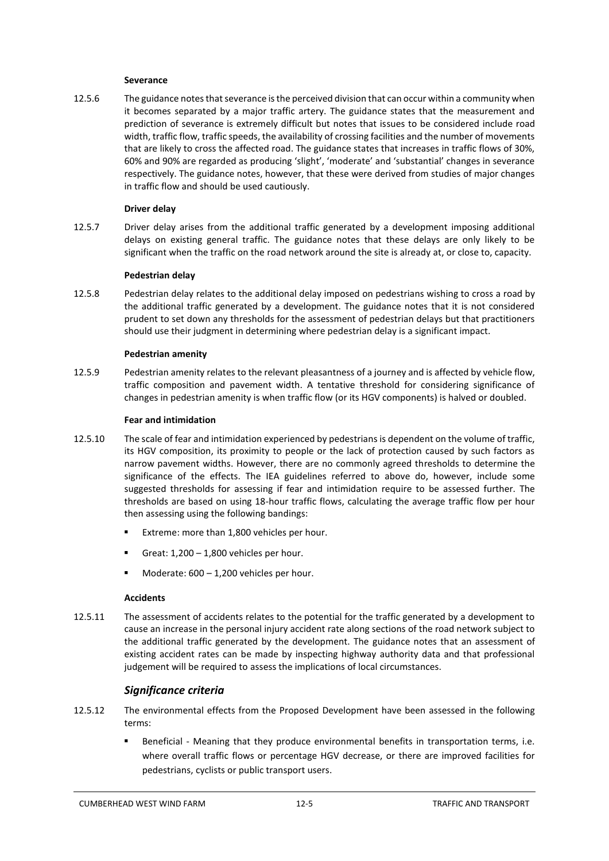#### **Severance**

12.5.6 The guidance notes that severance is the perceived division that can occur within a community when it becomes separated by a major traffic artery. The guidance states that the measurement and prediction of severance is extremely difficult but notes that issues to be considered include road width, traffic flow, traffic speeds, the availability of crossing facilities and the number of movements that are likely to cross the affected road. The guidance states that increases in traffic flows of 30%, 60% and 90% are regarded as producing 'slight', 'moderate' and 'substantial' changes in severance respectively. The guidance notes, however, that these were derived from studies of major changes in traffic flow and should be used cautiously.

#### **Driver delay**

12.5.7 Driver delay arises from the additional traffic generated by a development imposing additional delays on existing general traffic. The guidance notes that these delays are only likely to be significant when the traffic on the road network around the site is already at, or close to, capacity.

#### **Pedestrian delay**

12.5.8 Pedestrian delay relates to the additional delay imposed on pedestrians wishing to cross a road by the additional traffic generated by a development. The guidance notes that it is not considered prudent to set down any thresholds for the assessment of pedestrian delays but that practitioners should use their judgment in determining where pedestrian delay is a significant impact.

### **Pedestrian amenity**

12.5.9 Pedestrian amenity relates to the relevant pleasantness of a journey and is affected by vehicle flow, traffic composition and pavement width. A tentative threshold for considering significance of changes in pedestrian amenity is when traffic flow (or its HGV components) is halved or doubled.

### **Fear and intimidation**

- 12.5.10 The scale of fear and intimidation experienced by pedestrians is dependent on the volume of traffic, its HGV composition, its proximity to people or the lack of protection caused by such factors as narrow pavement widths. However, there are no commonly agreed thresholds to determine the significance of the effects. The IEA guidelines referred to above do, however, include some suggested thresholds for assessing if fear and intimidation require to be assessed further. The thresholds are based on using 18-hour traffic flows, calculating the average traffic flow per hour then assessing using the following bandings:
	- Extreme: more than 1,800 vehicles per hour.
	- **•** Great:  $1,200 1,800$  vehicles per hour.
	- Moderate:  $600 1,200$  vehicles per hour.

#### **Accidents**

12.5.11 The assessment of accidents relates to the potential for the traffic generated by a development to cause an increase in the personal injury accident rate along sections of the road network subject to the additional traffic generated by the development. The guidance notes that an assessment of existing accident rates can be made by inspecting highway authority data and that professional judgement will be required to assess the implications of local circumstances.

### *Significance criteria*

- 12.5.12 The environmental effects from the Proposed Development have been assessed in the following terms:
	- **EXECTE 15 EXECTE 15 Beneficial Meaning that they produce environmental benefits in transportation terms, i.e.** where overall traffic flows or percentage HGV decrease, or there are improved facilities for pedestrians, cyclists or public transport users.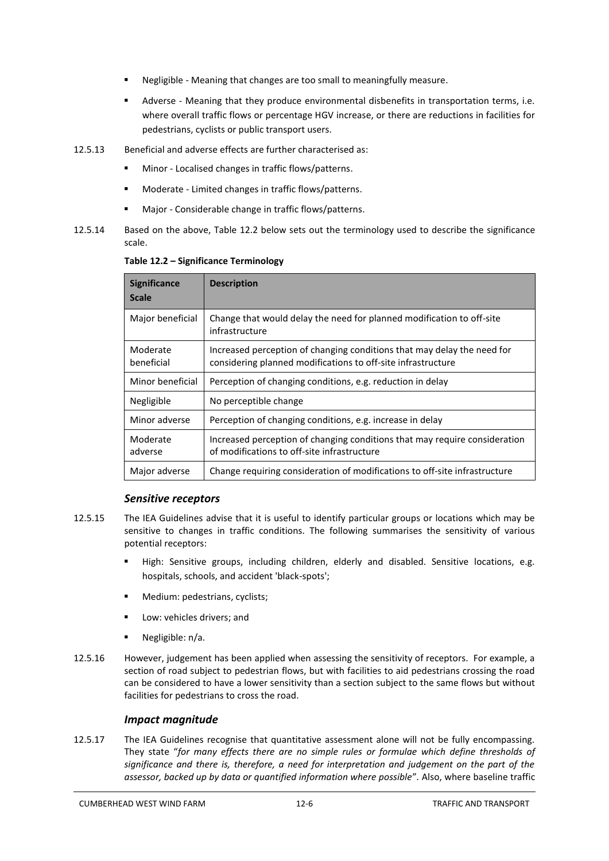- Negligible Meaning that changes are too small to meaningfully measure.
- Adverse Meaning that they produce environmental disbenefits in transportation terms, i.e. where overall traffic flows or percentage HGV increase, or there are reductions in facilities for pedestrians, cyclists or public transport users.
- 12.5.13 Beneficial and adverse effects are further characterised as:
	- Minor Localised changes in traffic flows/patterns.
	- Moderate Limited changes in traffic flows/patterns.
	- Major Considerable change in traffic flows/patterns.
- <span id="page-7-0"></span>12.5.14 Based on the above, [Table 12.2](#page-7-0) [below](#page-7-0) sets out the terminology used to describe the significance scale.

| <b>Significance</b><br><b>Scale</b> | <b>Description</b>                                                                                                                      |
|-------------------------------------|-----------------------------------------------------------------------------------------------------------------------------------------|
| Major beneficial                    | Change that would delay the need for planned modification to off-site<br>infrastructure                                                 |
| Moderate<br>beneficial              | Increased perception of changing conditions that may delay the need for<br>considering planned modifications to off-site infrastructure |
| Minor beneficial                    | Perception of changing conditions, e.g. reduction in delay                                                                              |
| Negligible                          | No perceptible change                                                                                                                   |
| Minor adverse                       | Perception of changing conditions, e.g. increase in delay                                                                               |
| Moderate<br>adverse                 | Increased perception of changing conditions that may require consideration<br>of modifications to off-site infrastructure               |
| Major adverse                       | Change requiring consideration of modifications to off-site infrastructure                                                              |

**Table 12.2 – Significance Terminology**

### *Sensitive receptors*

- 12.5.15 The IEA Guidelines advise that it is useful to identify particular groups or locations which may be sensitive to changes in traffic conditions. The following summarises the sensitivity of various potential receptors:
	- High: Sensitive groups, including children, elderly and disabled. Sensitive locations, e.g. hospitals, schools, and accident 'black-spots';
	- Medium: pedestrians, cyclists;
	- Low: vehicles drivers: and
	- Negligible: n/a.
- 12.5.16 However, judgement has been applied when assessing the sensitivity of receptors. For example, a section of road subject to pedestrian flows, but with facilities to aid pedestrians crossing the road can be considered to have a lower sensitivity than a section subject to the same flows but without facilities for pedestrians to cross the road.

### *Impact magnitude*

12.5.17 The IEA Guidelines recognise that quantitative assessment alone will not be fully encompassing. They state "*for many effects there are no simple rules or formulae which define thresholds of significance and there is, therefore, a need for interpretation and judgement on the part of the assessor, backed up by data or quantified information where possible*"*.* Also, where baseline traffic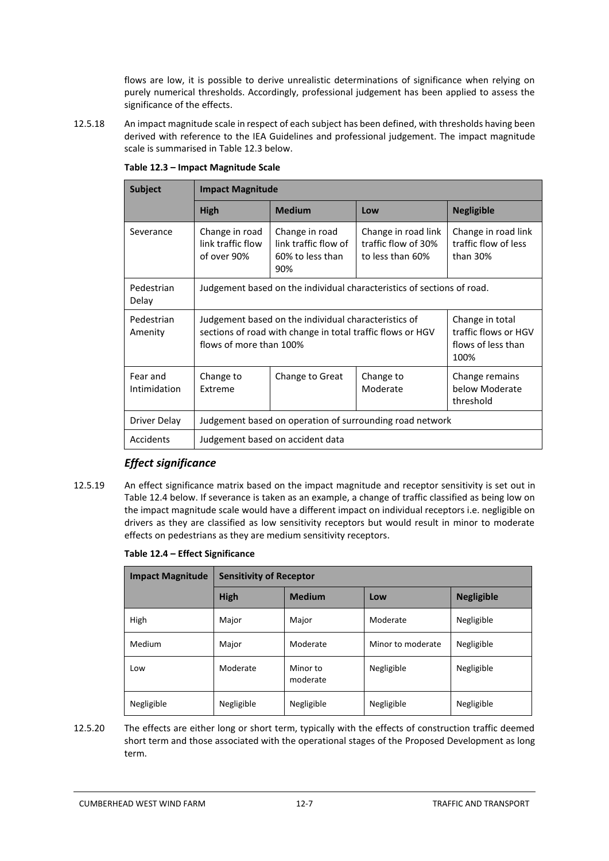flows are low, it is possible to derive unrealistic determinations of significance when relying on purely numerical thresholds. Accordingly, professional judgement has been applied to assess the significance of the effects.

<span id="page-8-0"></span>12.5.18 An impact magnitude scale in respect of each subject has been defined, with thresholds having been derived with reference to the IEA Guidelines and professional judgement. The impact magnitude scale is summarised i[n Table 12.3](#page-8-0) [below.](#page-8-0)

| <b>Subject</b>           | <b>Impact Magnitude</b>                                                                                                                                                                                                |                                                                   |                                                                |                                                           |
|--------------------------|------------------------------------------------------------------------------------------------------------------------------------------------------------------------------------------------------------------------|-------------------------------------------------------------------|----------------------------------------------------------------|-----------------------------------------------------------|
|                          | <b>High</b>                                                                                                                                                                                                            | <b>Medium</b>                                                     | Low                                                            | <b>Negligible</b>                                         |
| Severance                | Change in road<br>link traffic flow<br>of over 90%                                                                                                                                                                     | Change in road<br>link traffic flow of<br>60% to less than<br>90% | Change in road link<br>traffic flow of 30%<br>to less than 60% | Change in road link<br>traffic flow of less<br>than $30%$ |
| Pedestrian<br>Delay      | Judgement based on the individual characteristics of sections of road.                                                                                                                                                 |                                                                   |                                                                |                                                           |
| Pedestrian<br>Amenity    | Judgement based on the individual characteristics of<br>Change in total<br>traffic flows or HGV<br>sections of road with change in total traffic flows or HGV<br>flows of more than 100%<br>flows of less than<br>100% |                                                                   |                                                                |                                                           |
| Fear and<br>Intimidation | Change to<br>Extreme                                                                                                                                                                                                   | Change to Great                                                   | Change to<br>Moderate                                          | Change remains<br>below Moderate<br>threshold             |
| Driver Delay             | Judgement based on operation of surrounding road network                                                                                                                                                               |                                                                   |                                                                |                                                           |
| Accidents                | Judgement based on accident data                                                                                                                                                                                       |                                                                   |                                                                |                                                           |

**Table 12.3 – Impact Magnitude Scale**

### *Effect significance*

12.5.19 An effect significance matrix based on the impact magnitude and receptor sensitivity is set out in [Table 12.4](#page-8-1) [below.](#page-8-1) If severance is taken as an example, a change of traffic classified as being low on the impact magnitude scale would have a different impact on individual receptors i.e. negligible on drivers as they are classified as low sensitivity receptors but would result in minor to moderate effects on pedestrians as they are medium sensitivity receptors.

<span id="page-8-1"></span>

| <b>Impact Magnitude</b> | <b>Sensitivity of Receptor</b> |                      |                   |                   |
|-------------------------|--------------------------------|----------------------|-------------------|-------------------|
|                         | <b>High</b>                    | <b>Medium</b>        | Low               | <b>Negligible</b> |
| High                    | Major                          | Major                | Moderate          | Negligible        |
| Medium                  | Major                          | Moderate             | Minor to moderate | Negligible        |
| Low                     | Moderate                       | Minor to<br>moderate | Negligible        | Negligible        |
| Negligible              | Negligible                     | Negligible           | Negligible        | Negligible        |

12.5.20 The effects are either long or short term, typically with the effects of construction traffic deemed short term and those associated with the operational stages of the Proposed Development as long term.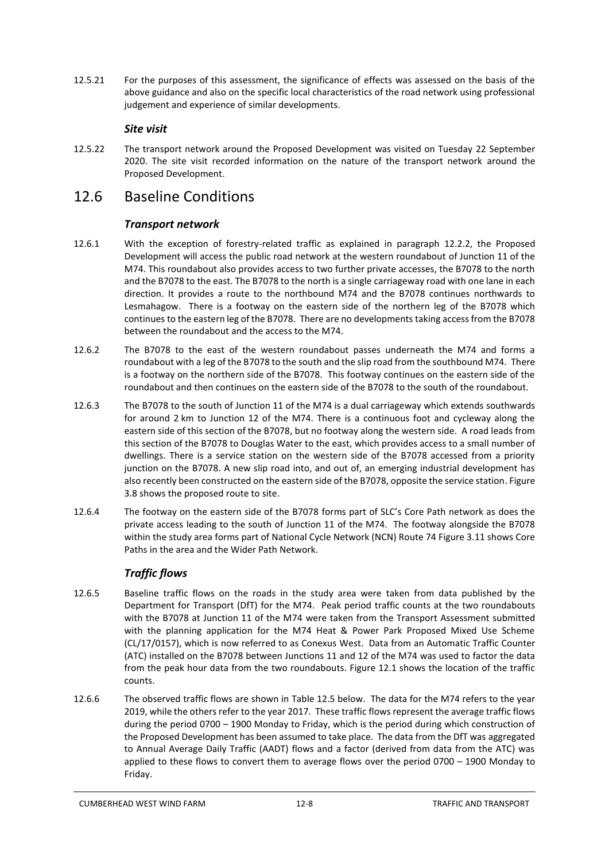12.5.21 For the purposes of this assessment, the significance of effects was assessed on the basis of the above guidance and also on the specific local characteristics of the road network using professional judgement and experience of similar developments.

### *Site visit*

12.5.22 The transport network around the Proposed Development was visited on Tuesday 22 September 2020. The site visit recorded information on the nature of the transport network around the Proposed Development.

## <span id="page-9-0"></span>12.6 Baseline Conditions

### *Transport network*

- 12.6.1 With the exception of forestry-related traffic as explained in paragraph [12.2.2,](#page-2-3) the Proposed Development will access the public road network at the western roundabout of Junction 11 of the M74. This roundabout also provides access to two further private accesses, the B7078 to the north and the B7078 to the east. The B7078 to the north is a single carriageway road with one lane in each direction. It provides a route to the northbound M74 and the B7078 continues northwards to Lesmahagow. There is a footway on the eastern side of the northern leg of the B7078 which continues to the eastern leg of the B7078. There are no developments taking access from the B7078 between the roundabout and the access to the M74.
- 12.6.2 The B7078 to the east of the western roundabout passes underneath the M74 and forms a roundabout with a leg of the B7078 to the south and the slip road from the southbound M74. There is a footway on the northern side of the B7078. This footway continues on the eastern side of the roundabout and then continues on the eastern side of the B7078 to the south of the roundabout.
- 12.6.3 The B7078 to the south of Junction 11 of the M74 is a dual carriageway which extends southwards for around 2 km to Junction 12 of the M74. There is a continuous foot and cycleway along the eastern side of this section of the B7078, but no footway along the western side. A road leads from this section of the B7078 to Douglas Water to the east, which provides access to a small number of dwellings. There is a service station on the western side of the B7078 accessed from a priority junction on the B7078. A new slip road into, and out of, an emerging industrial development has also recently been constructed on the eastern side of the B7078, opposite the service station. Figure 3.8 shows the proposed route to site.
- 12.6.4 The footway on the eastern side of the B7078 forms part of SLC's Core Path network as does the private access leading to the south of Junction 11 of the M74. The footway alongside the B7078 within the study area forms part of National Cycle Network (NCN) Route 74 Figure 3.11 shows Core Paths in the area and the Wider Path Network.

### *Traffic flows*

- 12.6.5 Baseline traffic flows on the roads in the study area were taken from data published by the Department for Transport (DfT) for the M74. Peak period traffic counts at the two roundabouts with the B7078 at Junction 11 of the M74 were taken from the Transport Assessment submitted with the planning application for the M74 Heat & Power Park Proposed Mixed Use Scheme (CL/17/0157), which is now referred to as Conexus West. Data from an Automatic Traffic Counter (ATC) installed on the B7078 between Junctions 11 and 12 of the M74 was used to factor the data from the peak hour data from the two roundabouts. Figure 12.1 shows the location of the traffic counts.
- 12.6.6 The observed traffic flows are shown in [Table 12.5](#page-10-0) [below.](#page-10-0) The data for the M74 refers to the year 2019, while the others refer to the year 2017. These traffic flows represent the average traffic flows during the period 0700 – 1900 Monday to Friday, which is the period during which construction of the Proposed Development has been assumed to take place. The data from the DfT was aggregated to Annual Average Daily Traffic (AADT) flows and a factor (derived from data from the ATC) was applied to these flows to convert them to average flows over the period 0700 – 1900 Monday to Friday.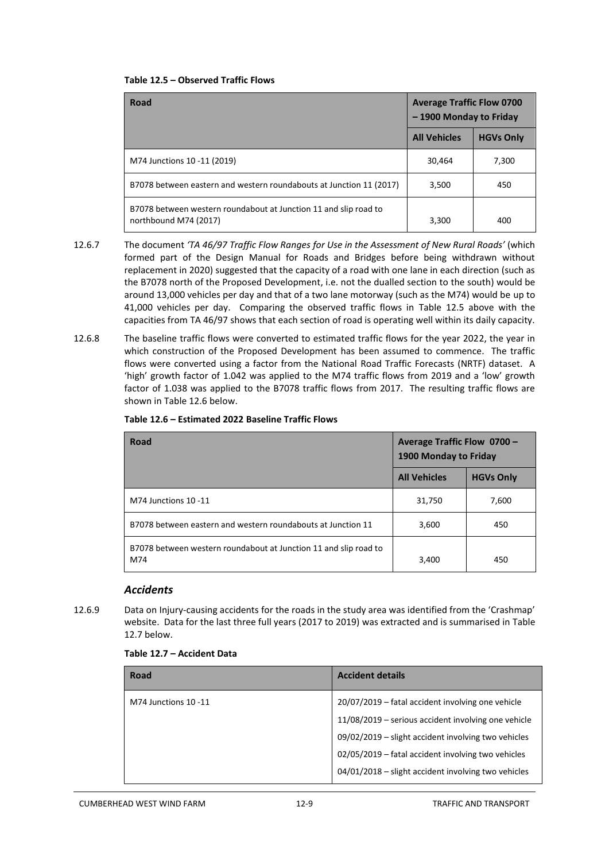#### <span id="page-10-0"></span>**Table 12.5 – Observed Traffic Flows**

| <b>Average Traffic Flow 0700</b><br>Road<br>-1900 Monday to Friday                        |                     |                  |
|-------------------------------------------------------------------------------------------|---------------------|------------------|
|                                                                                           | <b>All Vehicles</b> | <b>HGVs Only</b> |
| M74 Junctions 10 -11 (2019)                                                               | 30,464              | 7,300            |
| B7078 between eastern and western roundabouts at Junction 11 (2017)                       | 3,500               | 450              |
| B7078 between western roundabout at Junction 11 and slip road to<br>northbound M74 (2017) | 3,300               | 400              |

- 12.6.7 The document *'TA 46/97 Traffic Flow Ranges for Use in the Assessment of New Rural Roads'* (which formed part of the Design Manual for Roads and Bridges before being withdrawn without replacement in 2020) suggested that the capacity of a road with one lane in each direction (such as the B7078 north of the Proposed Development, i.e. not the dualled section to the south) would be around 13,000 vehicles per day and that of a two lane motorway (such as the M74) would be up to 41,000 vehicles per day. Comparing the observed traffic flows in [Table 12.5](#page-10-0) [above](#page-10-0) with the capacities from TA 46/97 shows that each section of road is operating well within its daily capacity.
- 12.6.8 The baseline traffic flows were converted to estimated traffic flows for the year 2022, the year in which construction of the Proposed Development has been assumed to commence. The traffic flows were converted using a factor from the National Road Traffic Forecasts (NRTF) dataset. A 'high' growth factor of 1.042 was applied to the M74 traffic flows from 2019 and a 'low' growth factor of 1.038 was applied to the B7078 traffic flows from 2017. The resulting traffic flows are shown i[n Table 12.6](#page-10-1) [below.](#page-10-1)

| Road                                                                    | Average Traffic Flow 0700 -<br>1900 Monday to Friday |                  |
|-------------------------------------------------------------------------|------------------------------------------------------|------------------|
|                                                                         | <b>All Vehicles</b>                                  | <b>HGVs Only</b> |
| M74 Junctions 10 -11                                                    | 31,750                                               | 7,600            |
| B7078 between eastern and western roundabouts at Junction 11            | 3,600                                                | 450              |
| B7078 between western roundabout at Junction 11 and slip road to<br>M74 | 3,400                                                | 450              |

### <span id="page-10-1"></span>**Table 12.6 – Estimated 2022 Baseline Traffic Flows**

### *Accidents*

<span id="page-10-2"></span>12.6.9 Data on Injury-causing accidents for the roads in the study area was identified from the 'Crashmap' website. Data for the last three full years (2017 to 2019) was extracted and is summarised in [Table](#page-10-2)  [12.7](#page-10-2) [below.](#page-10-2)

| <b>Road</b>          | <b>Accident details</b>                             |
|----------------------|-----------------------------------------------------|
| M74 Junctions 10 -11 | 20/07/2019 – fatal accident involving one vehicle   |
|                      | 11/08/2019 – serious accident involving one vehicle |
|                      | 09/02/2019 – slight accident involving two vehicles |
|                      | 02/05/2019 – fatal accident involving two vehicles  |
|                      | 04/01/2018 - slight accident involving two vehicles |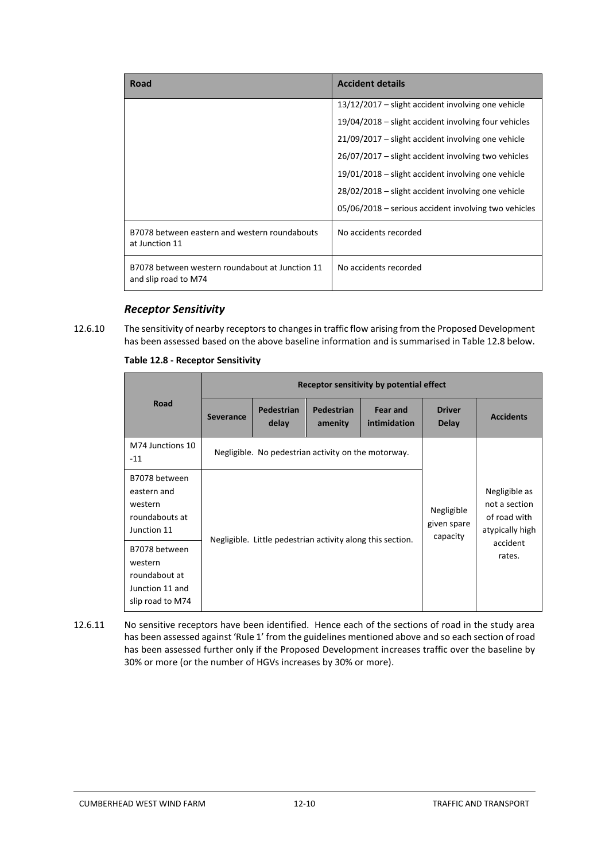| Road                                                                    | <b>Accident details</b>                              |
|-------------------------------------------------------------------------|------------------------------------------------------|
|                                                                         | $13/12/2017$ – slight accident involving one vehicle |
|                                                                         | 19/04/2018 – slight accident involving four vehicles |
|                                                                         | 21/09/2017 – slight accident involving one vehicle   |
|                                                                         | 26/07/2017 – slight accident involving two vehicles  |
|                                                                         | $19/01/2018$ – slight accident involving one vehicle |
|                                                                         | 28/02/2018 – slight accident involving one vehicle   |
|                                                                         | 05/06/2018 – serious accident involving two vehicles |
| B7078 between eastern and western roundabouts<br>at Junction 11         | No accidents recorded                                |
| B7078 between western roundabout at Junction 11<br>and slip road to M74 | No accidents recorded                                |

### *Receptor Sensitivity*

<span id="page-11-0"></span>12.6.10 The sensitivity of nearby receptors to changes in traffic flow arising from the Proposed Development has been assessed based on the above baseline information and is summarised in [Table 12.8](#page-11-0) [below.](#page-11-0)

**Table 12.8 - Receptor Sensitivity**

|                                                                                  | Receptor sensitivity by potential effect |                                                            |                       |                          |                                       |                                                                   |  |  |
|----------------------------------------------------------------------------------|------------------------------------------|------------------------------------------------------------|-----------------------|--------------------------|---------------------------------------|-------------------------------------------------------------------|--|--|
| <b>Road</b>                                                                      | Severance                                | <b>Pedestrian</b><br>delay                                 | Pedestrian<br>amenity | Fear and<br>intimidation | <b>Driver</b><br><b>Delay</b>         | <b>Accidents</b>                                                  |  |  |
| M74 Junctions 10<br>$-11$                                                        |                                          | Negligible. No pedestrian activity on the motorway.        |                       |                          |                                       |                                                                   |  |  |
| B7078 between<br>eastern and<br>western<br>roundabouts at<br>Junction 11         |                                          |                                                            |                       |                          | Negligible<br>given spare<br>capacity | Negligible as<br>not a section<br>of road with<br>atypically high |  |  |
| B7078 between<br>western<br>roundabout at<br>Junction 11 and<br>slip road to M74 |                                          | Negligible. Little pedestrian activity along this section. |                       |                          |                                       | accident<br>rates.                                                |  |  |

12.6.11 No sensitive receptors have been identified. Hence each of the sections of road in the study area has been assessed against 'Rule 1' from the guidelines mentioned above and so each section of road has been assessed further only if the Proposed Development increases traffic over the baseline by 30% or more (or the number of HGVs increases by 30% or more).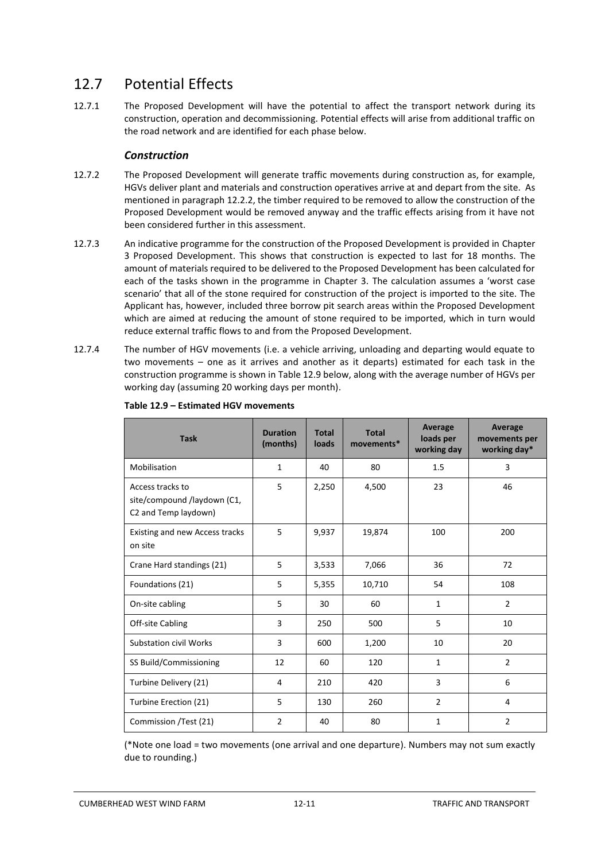# <span id="page-12-0"></span>12.7 Potential Effects

12.7.1 The Proposed Development will have the potential to affect the transport network during its construction, operation and decommissioning. Potential effects will arise from additional traffic on the road network and are identified for each phase below.

### *Construction*

- 12.7.2 The Proposed Development will generate traffic movements during construction as, for example, HGVs deliver plant and materials and construction operatives arrive at and depart from the site. As mentioned in paragraph [12.2.2,](#page-2-3) the timber required to be removed to allow the construction of the Proposed Development would be removed anyway and the traffic effects arising from it have not been considered further in this assessment.
- 12.7.3 An indicative programme for the construction of the Proposed Development is provided in Chapter 3 Proposed Development. This shows that construction is expected to last for 18 months. The amount of materials required to be delivered to the Proposed Development has been calculated for each of the tasks shown in the programme in Chapter 3. The calculation assumes a 'worst case scenario' that all of the stone required for construction of the project is imported to the site. The Applicant has, however, included three borrow pit search areas within the Proposed Development which are aimed at reducing the amount of stone required to be imported, which in turn would reduce external traffic flows to and from the Proposed Development.
- 12.7.4 The number of HGV movements (i.e. a vehicle arriving, unloading and departing would equate to two movements – one as it arrives and another as it departs) estimated for each task in the construction programme is shown in [Table 12.9](#page-12-1) [below,](#page-12-1) along with the average number of HGVs per working day (assuming 20 working days per month).

| <b>Task</b>                                                             | <b>Duration</b><br>(months) | <b>Total</b><br>loads | <b>Total</b><br>movements* | Average<br>loads per<br>working day | Average<br>movements per<br>working day* |
|-------------------------------------------------------------------------|-----------------------------|-----------------------|----------------------------|-------------------------------------|------------------------------------------|
| Mobilisation                                                            | $\mathbf{1}$                | 40                    | 80                         | 1.5                                 | 3                                        |
| Access tracks to<br>site/compound /laydown (C1,<br>C2 and Temp laydown) | 5                           | 2,250                 | 4,500                      | 23                                  | 46                                       |
| Existing and new Access tracks<br>on site                               | 5                           | 9,937                 | 19,874                     | 100                                 | 200                                      |
| Crane Hard standings (21)                                               | 5                           | 3,533                 | 7,066                      | 36                                  | 72                                       |
| Foundations (21)                                                        | 5                           | 5,355                 | 10,710                     | 54                                  | 108                                      |
| On-site cabling                                                         | 5                           | 30                    | 60                         | $\mathbf{1}$                        | $\overline{2}$                           |
| Off-site Cabling                                                        | 3                           | 250                   | 500                        | 5                                   | 10                                       |
| <b>Substation civil Works</b>                                           | 3                           | 600                   | 1,200                      | 10                                  | 20                                       |
| SS Build/Commissioning                                                  | 12                          | 60                    | 120                        | $\mathbf{1}$                        | $\overline{2}$                           |
| Turbine Delivery (21)                                                   | 4                           | 210                   | 420                        | 3                                   | 6                                        |
| Turbine Erection (21)                                                   | 5                           | 130                   | 260                        | $\overline{2}$                      | 4                                        |
| Commission /Test (21)                                                   | $\overline{2}$              | 40                    | 80                         | 1                                   | $\overline{2}$                           |

### <span id="page-12-1"></span>**Table 12.9 – Estimated HGV movements**

(\*Note one load = two movements (one arrival and one departure). Numbers may not sum exactly due to rounding.)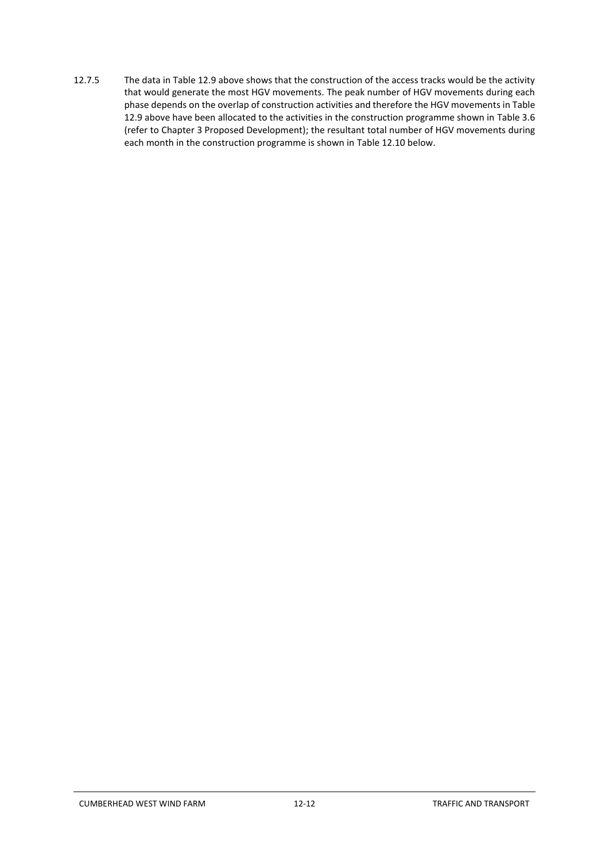12.7.5 The data in [Table 12.9](#page-12-1) [above](#page-12-1) shows that the construction of the access tracks would be the activity that would generate the most HGV movements. The peak number of HGV movements during each phase depends on the overlap of construction activities and therefore the HGV movements i[n Table](#page-12-1)  [12.9](#page-12-1) [above](#page-12-1) have been allocated to the activities in the construction programme shown in Table 3.6 (refer to Chapter 3 Proposed Development); the resultant total number of HGV movements during each month in the construction programme is shown in [Table 12.10](#page-14-0) [below.](#page-14-0)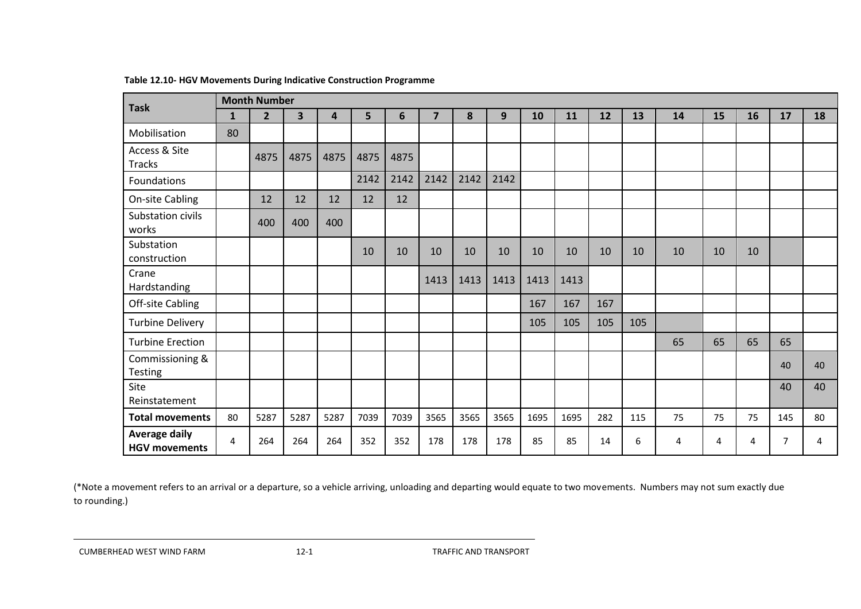| <b>Task</b>                                  |              | <b>Month Number</b> |      |      |      |      |                |      |      |      |      |     |     |    |    |    |                |    |
|----------------------------------------------|--------------|---------------------|------|------|------|------|----------------|------|------|------|------|-----|-----|----|----|----|----------------|----|
|                                              | $\mathbf{1}$ | $\overline{2}$      | 3    | 4    | 5    | 6    | $\overline{7}$ | 8    | 9    | 10   | 11   | 12  | 13  | 14 | 15 | 16 | 17             | 18 |
| Mobilisation                                 | 80           |                     |      |      |      |      |                |      |      |      |      |     |     |    |    |    |                |    |
| Access & Site<br><b>Tracks</b>               |              | 4875                | 4875 | 4875 | 4875 | 4875 |                |      |      |      |      |     |     |    |    |    |                |    |
| Foundations                                  |              |                     |      |      | 2142 | 2142 | 2142           | 2142 | 2142 |      |      |     |     |    |    |    |                |    |
| On-site Cabling                              |              | 12                  | 12   | 12   | 12   | 12   |                |      |      |      |      |     |     |    |    |    |                |    |
| Substation civils<br>works                   |              | 400                 | 400  | 400  |      |      |                |      |      |      |      |     |     |    |    |    |                |    |
| Substation<br>construction                   |              |                     |      |      | 10   | 10   | 10             | 10   | 10   | 10   | 10   | 10  | 10  | 10 | 10 | 10 |                |    |
| Crane<br>Hardstanding                        |              |                     |      |      |      |      | 1413           | 1413 | 1413 | 1413 | 1413 |     |     |    |    |    |                |    |
| Off-site Cabling                             |              |                     |      |      |      |      |                |      |      | 167  | 167  | 167 |     |    |    |    |                |    |
| <b>Turbine Delivery</b>                      |              |                     |      |      |      |      |                |      |      | 105  | 105  | 105 | 105 |    |    |    |                |    |
| <b>Turbine Erection</b>                      |              |                     |      |      |      |      |                |      |      |      |      |     |     | 65 | 65 | 65 | 65             |    |
| Commissioning &<br><b>Testing</b>            |              |                     |      |      |      |      |                |      |      |      |      |     |     |    |    |    | 40             | 40 |
| Site<br>Reinstatement                        |              |                     |      |      |      |      |                |      |      |      |      |     |     |    |    |    | 40             | 40 |
| <b>Total movements</b>                       | 80           | 5287                | 5287 | 5287 | 7039 | 7039 | 3565           | 3565 | 3565 | 1695 | 1695 | 282 | 115 | 75 | 75 | 75 | 145            | 80 |
| <b>Average daily</b><br><b>HGV movements</b> | 4            | 264                 | 264  | 264  | 352  | 352  | 178            | 178  | 178  | 85   | 85   | 14  | 6   | 4  | 4  | 4  | $\overline{7}$ | 4  |

**Table 12.10- HGV Movements During Indicative Construction Programme**

<span id="page-14-0"></span>(\*Note a movement refers to an arrival or a departure, so a vehicle arriving, unloading and departing would equate to two movements. Numbers may not sum exactly due to rounding.)

CUMBERHEAD WEST WIND FARM 12-1 12-1 TRAFFIC AND TRANSPORT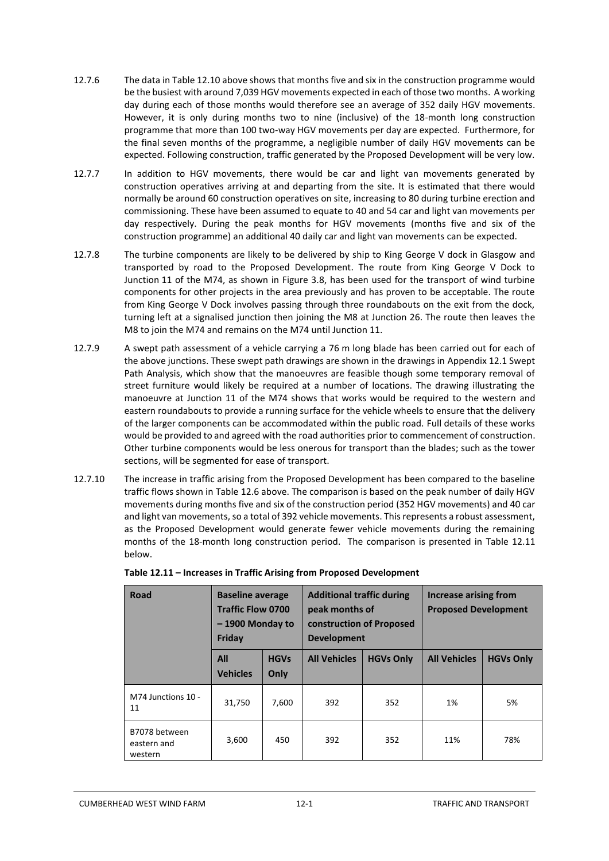- 12.7.6 The data i[n Table 12.10](#page-14-0) [above](#page-14-0) shows that months five and six in the construction programme would be the busiest with around 7,039 HGV movements expected in each of those two months. A working day during each of those months would therefore see an average of 352 daily HGV movements. However, it is only during months two to nine (inclusive) of the 18-month long construction programme that more than 100 two-way HGV movements per day are expected. Furthermore, for the final seven months of the programme, a negligible number of daily HGV movements can be expected. Following construction, traffic generated by the Proposed Development will be very low.
- 12.7.7 In addition to HGV movements, there would be car and light van movements generated by construction operatives arriving at and departing from the site. It is estimated that there would normally be around 60 construction operatives on site, increasing to 80 during turbine erection and commissioning. These have been assumed to equate to 40 and 54 car and light van movements per day respectively. During the peak months for HGV movements (months five and six of the construction programme) an additional 40 daily car and light van movements can be expected.
- 12.7.8 The turbine components are likely to be delivered by ship to King George V dock in Glasgow and transported by road to the Proposed Development. The route from King George V Dock to Junction 11 of the M74, as shown in Figure 3.8, has been used for the transport of wind turbine components for other projects in the area previously and has proven to be acceptable. The route from King George V Dock involves passing through three roundabouts on the exit from the dock, turning left at a signalised junction then joining the M8 at Junction 26. The route then leaves the M8 to join the M74 and remains on the M74 until Junction 11.
- 12.7.9 A swept path assessment of a vehicle carrying a 76 m long blade has been carried out for each of the above junctions. These swept path drawings are shown in the drawings in Appendix 12.1 Swept Path Analysis, which show that the manoeuvres are feasible though some temporary removal of street furniture would likely be required at a number of locations. The drawing illustrating the manoeuvre at Junction 11 of the M74 shows that works would be required to the western and eastern roundabouts to provide a running surface for the vehicle wheels to ensure that the delivery of the larger components can be accommodated within the public road. Full details of these works would be provided to and agreed with the road authorities prior to commencement of construction. Other turbine components would be less onerous for transport than the blades; such as the tower sections, will be segmented for ease of transport.
- 12.7.10 The increase in traffic arising from the Proposed Development has been compared to the baseline traffic flows shown in [Table 12.6](#page-10-1) [above.](#page-10-1) The comparison is based on the peak number of daily HGV movements during months five and six of the construction period (352 HGV movements) and 40 car and light van movements, so a total of 392 vehicle movements. This represents a robust assessment, as the Proposed Development would generate fewer vehicle movements during the remaining months of the 18-month long construction period. The comparison is presented in [Table 12.11](#page-15-0) [below.](#page-15-0)

| Road                                    | <b>Baseline average</b><br><b>Traffic Flow 0700</b><br>$-1900$ Monday to<br>Friday |                     | <b>Additional traffic during</b><br>peak months of<br>construction of Proposed<br><b>Development</b> |                  | Increase arising from<br><b>Proposed Development</b> |                  |  |
|-----------------------------------------|------------------------------------------------------------------------------------|---------------------|------------------------------------------------------------------------------------------------------|------------------|------------------------------------------------------|------------------|--|
|                                         | All<br><b>Vehicles</b>                                                             | <b>HGVs</b><br>Only | <b>All Vehicles</b>                                                                                  | <b>HGVs Only</b> | <b>All Vehicles</b>                                  | <b>HGVs Only</b> |  |
| M74 Junctions 10 -<br>11                | 31.750                                                                             | 7,600               | 392                                                                                                  | 352              | 1%                                                   | 5%               |  |
| B7078 between<br>eastern and<br>western | 3,600                                                                              | 450                 | 392                                                                                                  | 352              | 11%                                                  | 78%              |  |

<span id="page-15-0"></span>

| Table 12.11 - Increases in Traffic Arising from Proposed Development |  |  |  |  |
|----------------------------------------------------------------------|--|--|--|--|
|----------------------------------------------------------------------|--|--|--|--|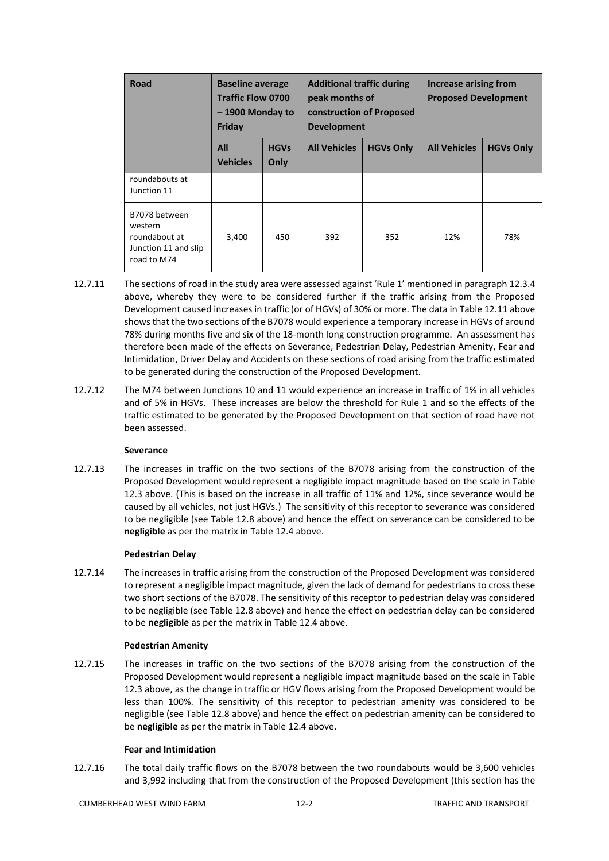| Road                                                                             | <b>Baseline average</b><br><b>Traffic Flow 0700</b><br>$-1900$ Monday to<br>Friday |                     | <b>Additional traffic during</b><br>peak months of<br>construction of Proposed<br><b>Development</b> |                  | <b>Increase arising from</b><br><b>Proposed Development</b> |                  |  |
|----------------------------------------------------------------------------------|------------------------------------------------------------------------------------|---------------------|------------------------------------------------------------------------------------------------------|------------------|-------------------------------------------------------------|------------------|--|
|                                                                                  | All<br><b>Vehicles</b>                                                             | <b>HGVs</b><br>Only | <b>All Vehicles</b>                                                                                  | <b>HGVs Only</b> | <b>All Vehicles</b>                                         | <b>HGVs Only</b> |  |
| roundabouts at<br>Junction 11                                                    |                                                                                    |                     |                                                                                                      |                  |                                                             |                  |  |
| B7078 between<br>western<br>roundabout at<br>Junction 11 and slip<br>road to M74 | 3,400                                                                              | 450                 | 392                                                                                                  | 352              | 12%                                                         | 78%              |  |

- 12.7.11 The sections of road in the study area were assessed against 'Rule 1' mentioned in paragrap[h 12.3.4](#page-3-2) [above,](#page-3-2) whereby they were to be considered further if the traffic arising from the Proposed Development caused increases in traffic (or of HGVs) of 30% or more. The data i[n Table 12.11](#page-15-0) [above](#page-15-0) shows that the two sections of the B7078 would experience a temporary increase in HGVs of around 78% during months five and six of the 18-month long construction programme. An assessment has therefore been made of the effects on Severance, Pedestrian Delay, Pedestrian Amenity, Fear and Intimidation, Driver Delay and Accidents on these sections of road arising from the traffic estimated to be generated during the construction of the Proposed Development.
- 12.7.12 The M74 between Junctions 10 and 11 would experience an increase in traffic of 1% in all vehicles and of 5% in HGVs. These increases are below the threshold for Rule 1 and so the effects of the traffic estimated to be generated by the Proposed Development on that section of road have not been assessed.

#### **Severance**

12.7.13 The increases in traffic on the two sections of the B7078 arising from the construction of the Proposed Development would represent a negligible impact magnitude based on the scale in [Table](#page-8-0)  [12.3](#page-8-0) [above.](#page-8-0) (This is based on the increase in all traffic of 11% and 12%, since severance would be caused by all vehicles, not just HGVs.) The sensitivity of this receptor to severance was considered to be negligible (see [Table 12.8](#page-11-0) [above\)](#page-11-0) and hence the effect on severance can be considered to be **negligible** as per the matrix in [Table 12.4](#page-8-1) [above.](#page-8-1)

### **Pedestrian Delay**

12.7.14 The increases in traffic arising from the construction of the Proposed Development was considered to represent a negligible impact magnitude, given the lack of demand for pedestrians to cross these two short sections of the B7078. The sensitivity of this receptor to pedestrian delay was considered to be negligible (se[e Table 12.8](#page-11-0) [above\)](#page-11-0) and hence the effect on pedestrian delay can be considered to be **negligible** as per the matrix i[n Table 12.4](#page-8-1) [above.](#page-8-1)

### **Pedestrian Amenity**

12.7.15 The increases in traffic on the two sections of the B7078 arising from the construction of the Proposed Development would represent a negligible impact magnitude based on the scale in [Table](#page-8-0)  [12.3](#page-8-0) [above,](#page-8-0) as the change in traffic or HGV flows arising from the Proposed Development would be less than 100%. The sensitivity of this receptor to pedestrian amenity was considered to be negligible (see [Table 12.8](#page-11-0) [above\)](#page-11-0) and hence the effect on pedestrian amenity can be considered to be **negligible** as per the matrix i[n Table 12.4](#page-8-1) [above.](#page-8-1)

### **Fear and Intimidation**

12.7.16 The total daily traffic flows on the B7078 between the two roundabouts would be 3,600 vehicles and 3,992 including that from the construction of the Proposed Development (this section has the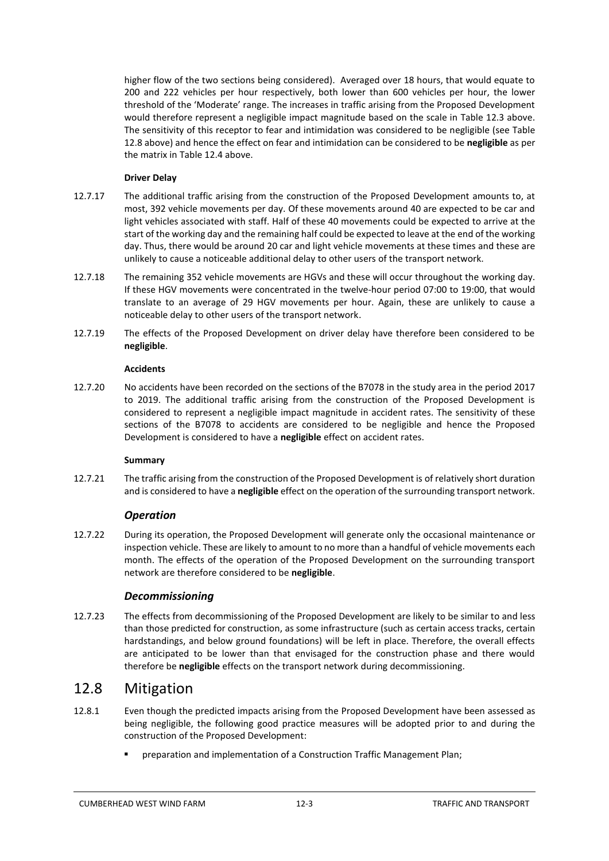higher flow of the two sections being considered). Averaged over 18 hours, that would equate to 200 and 222 vehicles per hour respectively, both lower than 600 vehicles per hour, the lower threshold of the 'Moderate' range. The increases in traffic arising from the Proposed Development would therefore represent a negligible impact magnitude based on the scale in [Table 12.3](#page-8-0) [above.](#page-8-0) The sensitivity of this receptor to fear and intimidation was considered to be negligible (see [Table](#page-11-0)  [12.8](#page-11-0) [above\)](#page-11-0) and hence the effect on fear and intimidation can be considered to be **negligible** as per the matrix in [Table 12.4](#page-8-1) [above.](#page-8-1)

### **Driver Delay**

- 12.7.17 The additional traffic arising from the construction of the Proposed Development amounts to, at most, 392 vehicle movements per day. Of these movements around 40 are expected to be car and light vehicles associated with staff. Half of these 40 movements could be expected to arrive at the start of the working day and the remaining half could be expected to leave at the end of the working day. Thus, there would be around 20 car and light vehicle movements at these times and these are unlikely to cause a noticeable additional delay to other users of the transport network.
- 12.7.18 The remaining 352 vehicle movements are HGVs and these will occur throughout the working day. If these HGV movements were concentrated in the twelve-hour period 07:00 to 19:00, that would translate to an average of 29 HGV movements per hour. Again, these are unlikely to cause a noticeable delay to other users of the transport network.
- 12.7.19 The effects of the Proposed Development on driver delay have therefore been considered to be **negligible**.

### **Accidents**

12.7.20 No accidents have been recorded on the sections of the B7078 in the study area in the period 2017 to 2019. The additional traffic arising from the construction of the Proposed Development is considered to represent a negligible impact magnitude in accident rates. The sensitivity of these sections of the B7078 to accidents are considered to be negligible and hence the Proposed Development is considered to have a **negligible** effect on accident rates.

### **Summary**

12.7.21 The traffic arising from the construction of the Proposed Development is of relatively short duration and is considered to have a **negligible** effect on the operation of the surrounding transport network.

### *Operation*

12.7.22 During its operation, the Proposed Development will generate only the occasional maintenance or inspection vehicle. These are likely to amount to no more than a handful of vehicle movements each month. The effects of the operation of the Proposed Development on the surrounding transport network are therefore considered to be **negligible**.

### *Decommissioning*

12.7.23 The effects from decommissioning of the Proposed Development are likely to be similar to and less than those predicted for construction, as some infrastructure (such as certain access tracks, certain hardstandings, and below ground foundations) will be left in place. Therefore, the overall effects are anticipated to be lower than that envisaged for the construction phase and there would therefore be **negligible** effects on the transport network during decommissioning.

### <span id="page-17-0"></span>12.8 Mitigation

- 12.8.1 Even though the predicted impacts arising from the Proposed Development have been assessed as being negligible, the following good practice measures will be adopted prior to and during the construction of the Proposed Development:
	- preparation and implementation of a Construction Traffic Management Plan;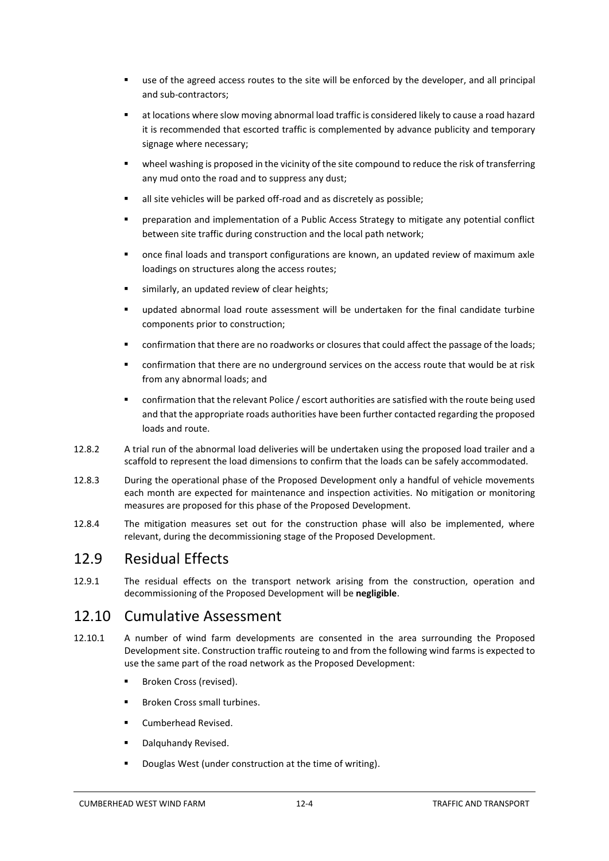- use of the agreed access routes to the site will be enforced by the developer, and all principal and sub-contractors;
- at locations where slow moving abnormal load traffic is considered likely to cause a road hazard it is recommended that escorted traffic is complemented by advance publicity and temporary signage where necessary;
- wheel washing is proposed in the vicinity of the site compound to reduce the risk of transferring any mud onto the road and to suppress any dust;
- all site vehicles will be parked off-road and as discretely as possible;
- **•** preparation and implementation of a Public Access Strategy to mitigate any potential conflict between site traffic during construction and the local path network;
- once final loads and transport configurations are known, an updated review of maximum axle loadings on structures along the access routes;
- similarly, an updated review of clear heights;
- updated abnormal load route assessment will be undertaken for the final candidate turbine components prior to construction;
- confirmation that there are no roadworks or closures that could affect the passage of the loads;
- confirmation that there are no underground services on the access route that would be at risk from any abnormal loads; and
- confirmation that the relevant Police / escort authorities are satisfied with the route being used and that the appropriate roads authorities have been further contacted regarding the proposed loads and route.
- 12.8.2 A trial run of the abnormal load deliveries will be undertaken using the proposed load trailer and a scaffold to represent the load dimensions to confirm that the loads can be safely accommodated.
- 12.8.3 During the operational phase of the Proposed Development only a handful of vehicle movements each month are expected for maintenance and inspection activities. No mitigation or monitoring measures are proposed for this phase of the Proposed Development.
- 12.8.4 The mitigation measures set out for the construction phase will also be implemented, where relevant, during the decommissioning stage of the Proposed Development.

### <span id="page-18-0"></span>12.9 Residual Effects

12.9.1 The residual effects on the transport network arising from the construction, operation and decommissioning of the Proposed Development will be **negligible**.

## <span id="page-18-1"></span>12.10 Cumulative Assessment

- 12.10.1 A number of wind farm developments are consented in the area surrounding the Proposed Development site. Construction traffic routeing to and from the following wind farms is expected to use the same part of the road network as the Proposed Development:
	- Broken Cross (revised).
	- Broken Cross small turbines
	- Cumberhead Revised.
	- Dalquhandy Revised.
	- Douglas West (under construction at the time of writing).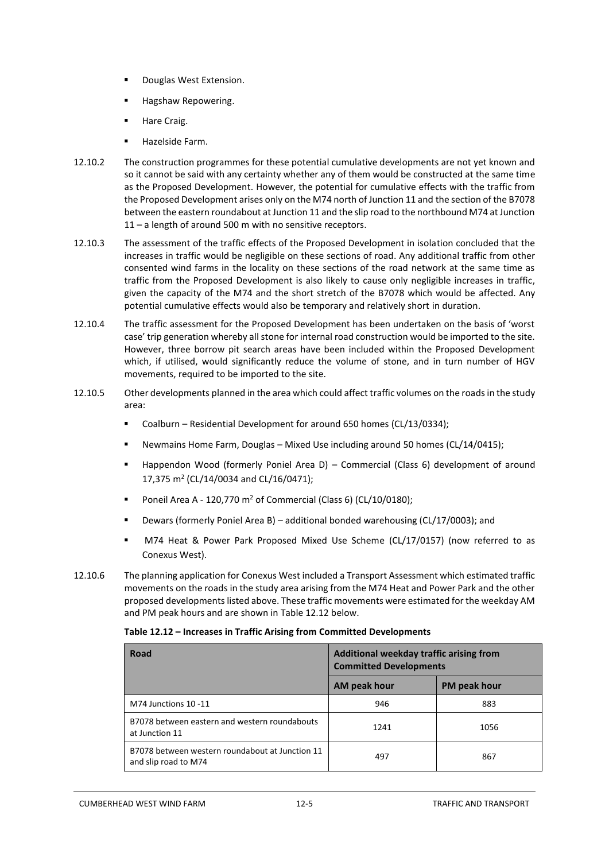- Douglas West Extension.
- Hagshaw Repowering.
- Hare Craig.
- Hazelside Farm.
- 12.10.2 The construction programmes for these potential cumulative developments are not yet known and so it cannot be said with any certainty whether any of them would be constructed at the same time as the Proposed Development. However, the potential for cumulative effects with the traffic from the Proposed Development arises only on the M74 north of Junction 11 and the section of the B7078 between the eastern roundabout at Junction 11 and the slip road to the northbound M74 at Junction 11 – a length of around 500 m with no sensitive receptors.
- 12.10.3 The assessment of the traffic effects of the Proposed Development in isolation concluded that the increases in traffic would be negligible on these sections of road. Any additional traffic from other consented wind farms in the locality on these sections of the road network at the same time as traffic from the Proposed Development is also likely to cause only negligible increases in traffic, given the capacity of the M74 and the short stretch of the B7078 which would be affected. Any potential cumulative effects would also be temporary and relatively short in duration.
- 12.10.4 The traffic assessment for the Proposed Development has been undertaken on the basis of 'worst case' trip generation whereby all stone for internal road construction would be imported to the site. However, three borrow pit search areas have been included within the Proposed Development which, if utilised, would significantly reduce the volume of stone, and in turn number of HGV movements, required to be imported to the site.
- 12.10.5 Other developments planned in the area which could affect traffic volumes on the roads in the study area:
	- Coalburn Residential Development for around 650 homes (CL/13/0334);
	- Newmains Home Farm, Douglas Mixed Use including around 50 homes (CL/14/0415);
	- Happendon Wood (formerly Poniel Area D) Commercial (Class 6) development of around 17,375 m<sup>2</sup> (CL/14/0034 and CL/16/0471);
	- **•** Poneil Area A 120,770  $m^2$  of Commercial (Class 6) (CL/10/0180);
	- Dewars (formerly Poniel Area B) additional bonded warehousing (CL/17/0003); and
	- M74 Heat & Power Park Proposed Mixed Use Scheme (CL/17/0157) (now referred to as Conexus West).
- 12.10.6 The planning application for Conexus West included a Transport Assessment which estimated traffic movements on the roads in the study area arising from the M74 Heat and Power Park and the other proposed developmentslisted above. These traffic movements were estimated for the weekday AM and PM peak hours and are shown in Table 12.12 [below.](#page-19-0)

### <span id="page-19-1"></span><span id="page-19-0"></span>**Table 12.12 – Increases in Traffic Arising from Committed Developments**

| Road                                                                    | Additional weekday traffic arising from<br><b>Committed Developments</b> |              |  |  |  |
|-------------------------------------------------------------------------|--------------------------------------------------------------------------|--------------|--|--|--|
|                                                                         | AM peak hour                                                             | PM peak hour |  |  |  |
| M74 Junctions 10 -11                                                    | 946                                                                      | 883          |  |  |  |
| B7078 between eastern and western roundabouts<br>at Junction 11         | 1241                                                                     | 1056         |  |  |  |
| B7078 between western roundabout at Junction 11<br>and slip road to M74 | 497                                                                      | 867          |  |  |  |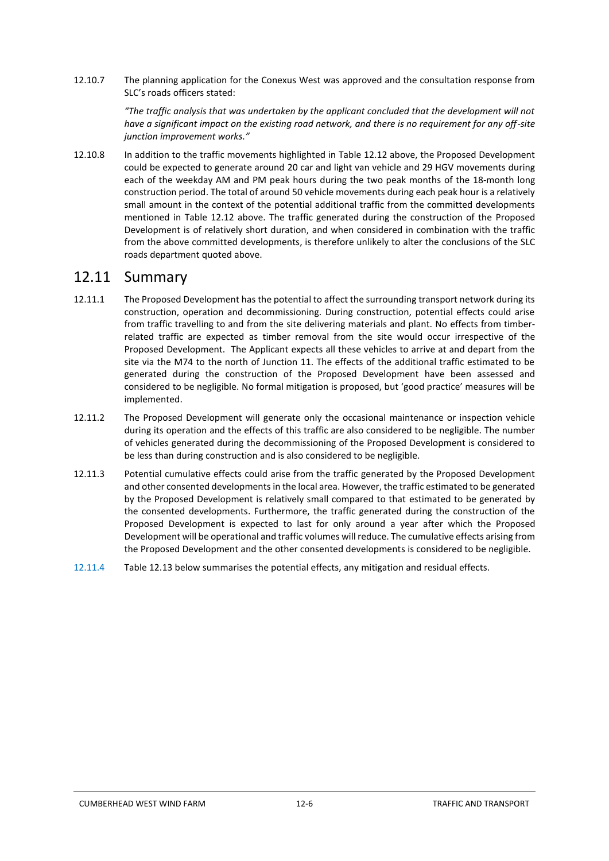12.10.7 The planning application for the Conexus West was approved and the consultation response from SLC's roads officers stated:

> *"The traffic analysis that was undertaken by the applicant concluded that the development will not have a significant impact on the existing road network, and there is no requirement for any off-site junction improvement works."*

12.10.8 In addition to the traffic movements highlighted in [Table 12.12](#page-19-1) [above,](#page-19-1) the Proposed Development could be expected to generate around 20 car and light van vehicle and 29 HGV movements during each of the weekday AM and PM peak hours during the two peak months of the 18-month long construction period. The total of around 50 vehicle movements during each peak hour is a relatively small amount in the context of the potential additional traffic from the committed developments mentioned in [Table 12.12](#page-19-1) [above.](#page-19-1) The traffic generated during the construction of the Proposed Development is of relatively short duration, and when considered in combination with the traffic from the above committed developments, is therefore unlikely to alter the conclusions of the SLC roads department quoted above.

### <span id="page-20-0"></span>12.11 Summary

- 12.11.1 The Proposed Development has the potential to affect the surrounding transport network during its construction, operation and decommissioning. During construction, potential effects could arise from traffic travelling to and from the site delivering materials and plant. No effects from timberrelated traffic are expected as timber removal from the site would occur irrespective of the Proposed Development. The Applicant expects all these vehicles to arrive at and depart from the site via the M74 to the north of Junction 11. The effects of the additional traffic estimated to be generated during the construction of the Proposed Development have been assessed and considered to be negligible. No formal mitigation is proposed, but 'good practice' measures will be implemented.
- 12.11.2 The Proposed Development will generate only the occasional maintenance or inspection vehicle during its operation and the effects of this traffic are also considered to be negligible. The number of vehicles generated during the decommissioning of the Proposed Development is considered to be less than during construction and is also considered to be negligible.
- 12.11.3 Potential cumulative effects could arise from the traffic generated by the Proposed Development and other consented developments in the local area. However, the traffic estimated to be generated by the Proposed Development is relatively small compared to that estimated to be generated by the consented developments. Furthermore, the traffic generated during the construction of the Proposed Development is expected to last for only around a year after which the Proposed Development will be operational and traffic volumes will reduce. The cumulative effects arising from the Proposed Development and the other consented developments is considered to be negligible.
- 12.11.4 Table 12.13 below summarises the potential effects, any mitigation and residual effects.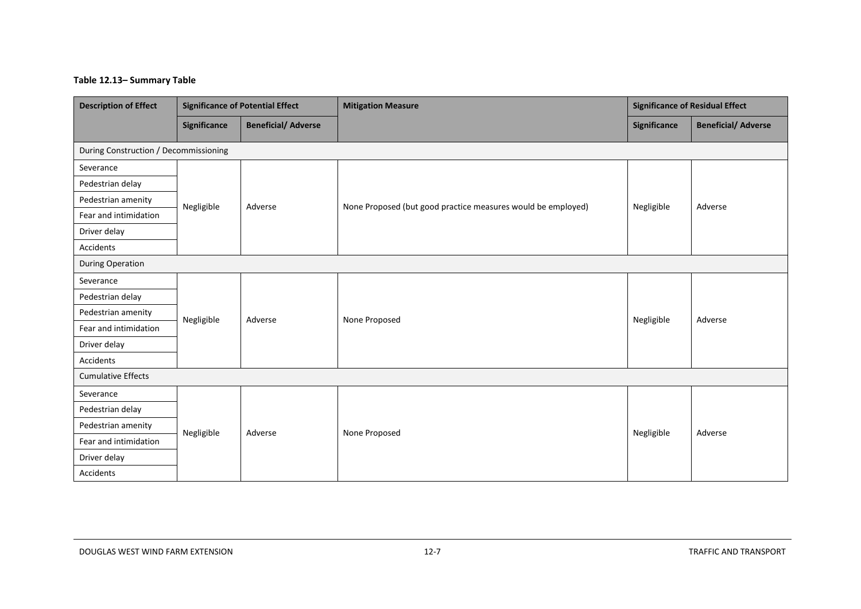### **Table 12.13– Summary Table**

| <b>Description of Effect</b>          | <b>Significance of Potential Effect</b> |                            | <b>Mitigation Measure</b>                                    | <b>Significance of Residual Effect</b> |                            |  |
|---------------------------------------|-----------------------------------------|----------------------------|--------------------------------------------------------------|----------------------------------------|----------------------------|--|
|                                       | Significance                            | <b>Beneficial/ Adverse</b> |                                                              | Significance                           | <b>Beneficial/ Adverse</b> |  |
| During Construction / Decommissioning |                                         |                            |                                                              |                                        |                            |  |
| Severance                             |                                         |                            |                                                              |                                        |                            |  |
| Pedestrian delay                      |                                         |                            |                                                              |                                        |                            |  |
| Pedestrian amenity                    | Negligible                              | Adverse                    | None Proposed (but good practice measures would be employed) | Negligible                             | Adverse                    |  |
| Fear and intimidation                 |                                         |                            |                                                              |                                        |                            |  |
| Driver delay                          |                                         |                            |                                                              |                                        |                            |  |
| Accidents                             |                                         |                            |                                                              |                                        |                            |  |
| <b>During Operation</b>               |                                         |                            |                                                              |                                        |                            |  |
| Severance                             |                                         |                            |                                                              |                                        |                            |  |
| Pedestrian delay                      |                                         |                            |                                                              |                                        |                            |  |
| Pedestrian amenity                    | Negligible                              | Adverse                    | None Proposed                                                |                                        | Adverse                    |  |
| Fear and intimidation                 |                                         |                            |                                                              | Negligible                             |                            |  |
| Driver delay                          |                                         |                            |                                                              |                                        |                            |  |
| Accidents                             |                                         |                            |                                                              |                                        |                            |  |
| <b>Cumulative Effects</b>             |                                         |                            |                                                              |                                        |                            |  |
| Severance                             |                                         |                            |                                                              |                                        |                            |  |
| Pedestrian delay                      |                                         |                            |                                                              |                                        |                            |  |
| Pedestrian amenity                    |                                         | Adverse                    | None Proposed                                                |                                        | Adverse                    |  |
| Fear and intimidation                 | Negligible                              |                            |                                                              | Negligible                             |                            |  |
| Driver delay                          |                                         |                            |                                                              |                                        |                            |  |
| Accidents                             |                                         |                            |                                                              |                                        |                            |  |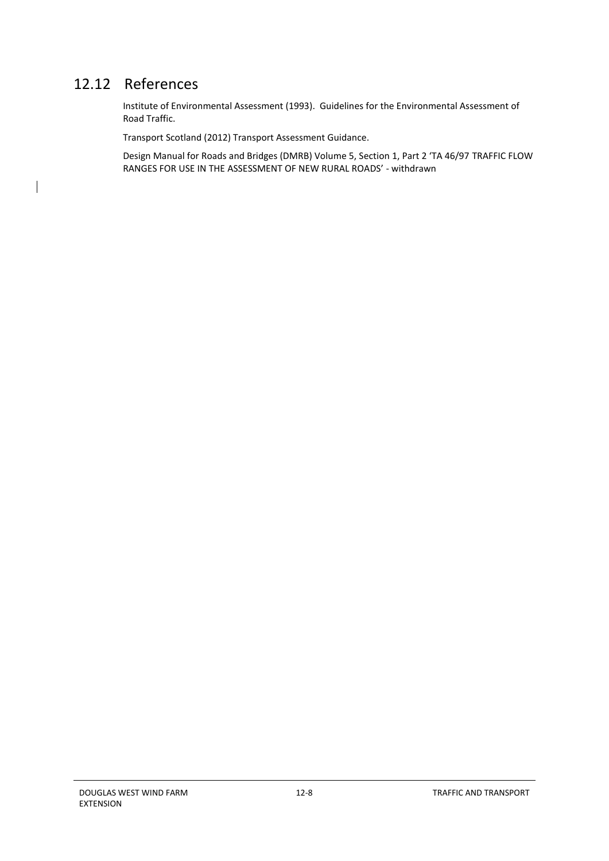# <span id="page-22-0"></span>12.12 References

Institute of Environmental Assessment (1993). Guidelines for the Environmental Assessment of Road Traffic.

Transport Scotland (2012) Transport Assessment Guidance.

Design Manual for Roads and Bridges (DMRB) Volume 5, Section 1, Part 2 'TA 46/97 TRAFFIC FLOW RANGES FOR USE IN THE ASSESSMENT OF NEW RURAL ROADS' - withdrawn